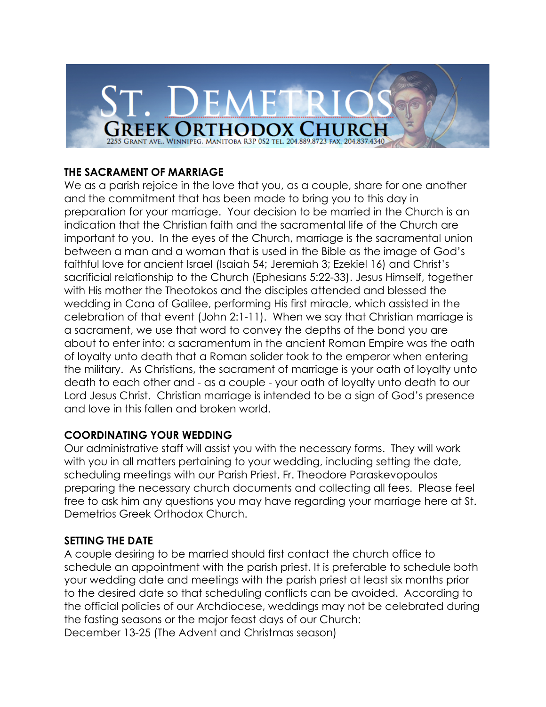#### **THE SACRAMENT OF MARRIAGE**

We as a parish rejoice in the love that you, as a couple, share for one another and the commitment that has been made to bring you to this day in preparation for your marriage. Your decision to be married in the Church is an indication that the Christian faith and the sacramental life of the Church are important to you. In the eyes of the Church, marriage is the sacramental union between a man and a woman that is used in the Bible as the image of God's faithful love for ancient Israel (Isaiah 54; Jeremiah 3; Ezekiel 16) and Christ's sacrificial relationship to the Church (Ephesians 5:22-33). Jesus Himself, together with His mother the Theotokos and the disciples attended and blessed the wedding in Cana of Galilee, performing His first miracle, which assisted in the celebration of that event (John 2:1-11). When we say that Christian marriage is a sacrament, we use that word to convey the depths of the bond you are about to enter into: a sacramentum in the ancient Roman Empire was the oath of loyalty unto death that a Roman solider took to the emperor when entering the military. As Christians, the sacrament of marriage is your oath of loyalty unto death to each other and - as a couple - your oath of loyalty unto death to our Lord Jesus Christ. Christian marriage is intended to be a sign of God's presence and love in this fallen and broken world.

### **COORDINATING YOUR WEDDING**

Our administrative staff will assist you with the necessary forms. They will work with you in all matters pertaining to your wedding, including setting the date, scheduling meetings with our Parish Priest, Fr. Theodore Paraskevopoulos preparing the necessary church documents and collecting all fees. Please feel free to ask him any questions you may have regarding your marriage here at St. Demetrios Greek Orthodox Church.

#### **SETTING THE DATE**

A couple desiring to be married should first contact the church office to schedule an appointment with the parish priest. It is preferable to schedule both your wedding date and meetings with the parish priest at least six months prior to the desired date so that scheduling conflicts can be avoided. According to the official policies of our Archdiocese, weddings may not be celebrated during the fasting seasons or the major feast days of our Church: December 13-25 (The Advent and Christmas season)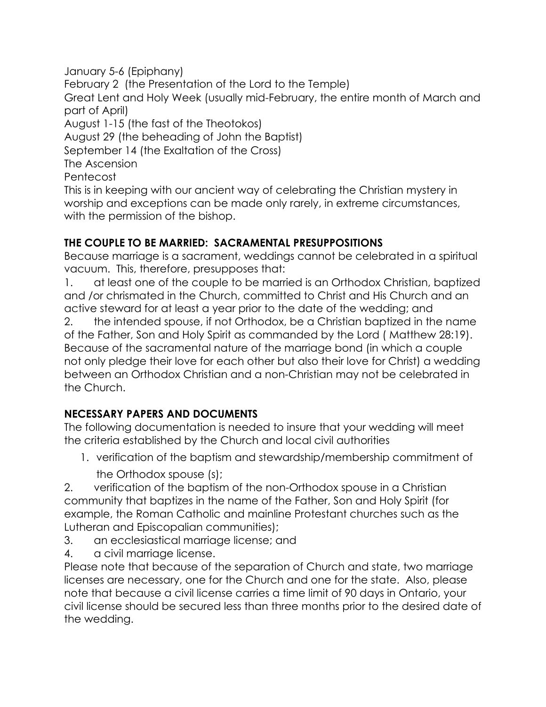January 5-6 (Epiphany) February 2 (the Presentation of the Lord to the Temple) Great Lent and Holy Week (usually mid-February, the entire month of March and part of April) August 1-15 (the fast of the Theotokos) August 29 (the beheading of John the Baptist) September 14 (the Exaltation of the Cross) The Ascension Pentecost This is in keeping with our ancient way of celebrating the Christian mystery in worship and exceptions can be made only rarely, in extreme circumstances, with the permission of the bishop.

# **THE COUPLE TO BE MARRIED: SACRAMENTAL PRESUPPOSITIONS**

Because marriage is a sacrament, weddings cannot be celebrated in a spiritual vacuum. This, therefore, presupposes that:

1. at least one of the couple to be married is an Orthodox Christian, baptized and /or chrismated in the Church, committed to Christ and His Church and an active steward for at least a year prior to the date of the wedding; and

2. the intended spouse, if not Orthodox, be a Christian baptized in the name of the Father, Son and Holy Spirit as commanded by the Lord ( Matthew 28:19). Because of the sacramental nature of the marriage bond (in which a couple not only pledge their love for each other but also their love for Christ) a wedding between an Orthodox Christian and a non-Christian may not be celebrated in the Church.

# **NECESSARY PAPERS AND DOCUMENTS**

The following documentation is needed to insure that your wedding will meet the criteria established by the Church and local civil authorities

1. verification of the baptism and stewardship/membership commitment of the Orthodox spouse (s);

2. verification of the baptism of the non-Orthodox spouse in a Christian community that baptizes in the name of the Father, Son and Holy Spirit (for example, the Roman Catholic and mainline Protestant churches such as the Lutheran and Episcopalian communities);

- 3. an ecclesiastical marriage license; and
- 4. a civil marriage license.

Please note that because of the separation of Church and state, two marriage licenses are necessary, one for the Church and one for the state. Also, please note that because a civil license carries a time limit of 90 days in Ontario, your civil license should be secured less than three months prior to the desired date of the wedding.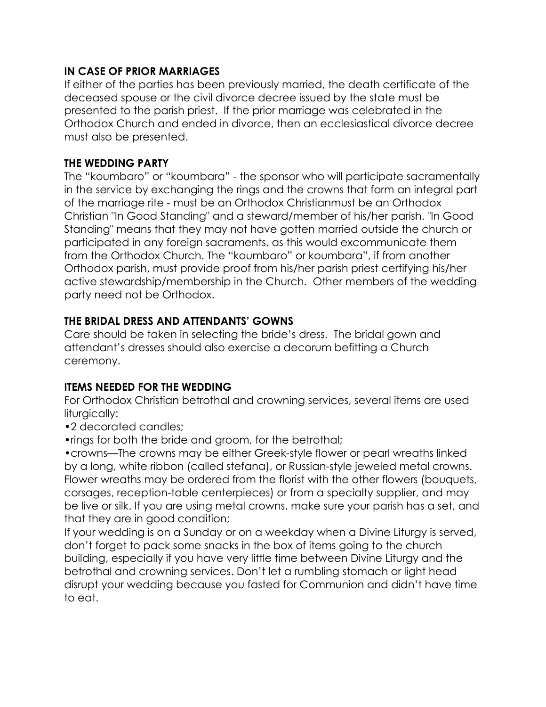#### **IN CASE OF PRIOR MARRIAGES**

If either of the parties has been previously married, the death certificate of the deceased spouse or the civil divorce decree issued by the state must be presented to the parish priest. If the prior marriage was celebrated in the Orthodox Church and ended in divorce, then an ecclesiastical divorce decree must also be presented.

#### **THE WEDDING PARTY**

The "koumbaro" or "koumbara" - the sponsor who will participate sacramentally in the service by exchanging the rings and the crowns that form an integral part of the marriage rite - must be an Orthodox Christianmust be an Orthodox Christian "In Good Standing" and a steward/member of his/her parish. "In Good Standing" means that they may not have gotten married outside the church or participated in any foreign sacraments, as this would excommunicate them from the Orthodox Church. The "koumbaro" or koumbara", if from another Orthodox parish, must provide proof from his/her parish priest certifying his/her active stewardship/membership in the Church. Other members of the wedding party need not be Orthodox.

#### **THE BRIDAL DRESS AND ATTENDANTS' GOWNS**

Care should be taken in selecting the bride's dress. The bridal gown and attendant's dresses should also exercise a decorum befitting a Church ceremony.

### **ITEMS NEEDED FOR THE WEDDING**

For Orthodox Christian betrothal and crowning services, several items are used liturgically:

- •2 decorated candles;
- •rings for both the bride and groom, for the betrothal;

•crowns—The crowns may be either Greek-style flower or pearl wreaths linked by a long, white ribbon (called stefana), or Russian-style jeweled metal crowns. Flower wreaths may be ordered from the florist with the other flowers (bouquets, corsages, reception-table centerpieces) or from a specialty supplier, and may be live or silk. If you are using metal crowns, make sure your parish has a set, and that they are in good condition;

If your wedding is on a Sunday or on a weekday when a Divine Liturgy is served, don't forget to pack some snacks in the box of items going to the church building, especially if you have very little time between Divine Liturgy and the betrothal and crowning services. Don't let a rumbling stomach or light head disrupt your wedding because you fasted for Communion and didn't have time to eat.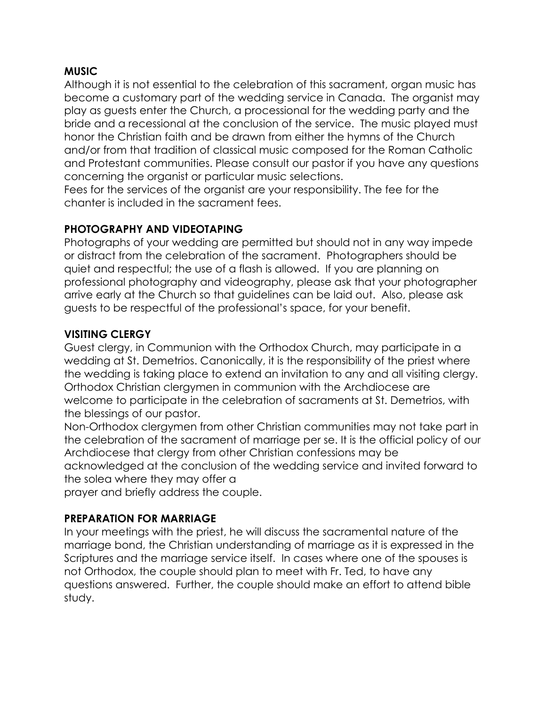#### **MUSIC**

Although it is not essential to the celebration of this sacrament, organ music has become a customary part of the wedding service in Canada. The organist may play as guests enter the Church, a processional for the wedding party and the bride and a recessional at the conclusion of the service. The music played must honor the Christian faith and be drawn from either the hymns of the Church and/or from that tradition of classical music composed for the Roman Catholic and Protestant communities. Please consult our pastor if you have any questions concerning the organist or particular music selections.

Fees for the services of the organist are your responsibility. The fee for the chanter is included in the sacrament fees.

### **PHOTOGRAPHY AND VIDEOTAPING**

Photographs of your wedding are permitted but should not in any way impede or distract from the celebration of the sacrament. Photographers should be quiet and respectful; the use of a flash is allowed. If you are planning on professional photography and videography, please ask that your photographer arrive early at the Church so that guidelines can be laid out. Also, please ask guests to be respectful of the professional's space, for your benefit.

### **VISITING CLERGY**

Guest clergy, in Communion with the Orthodox Church, may participate in a wedding at St. Demetrios. Canonically, it is the responsibility of the priest where the wedding is taking place to extend an invitation to any and all visiting clergy. Orthodox Christian clergymen in communion with the Archdiocese are welcome to participate in the celebration of sacraments at St. Demetrios, with the blessings of our pastor.

Non-Orthodox clergymen from other Christian communities may not take part in the celebration of the sacrament of marriage per se. It is the official policy of our Archdiocese that clergy from other Christian confessions may be

acknowledged at the conclusion of the wedding service and invited forward to the solea where they may offer a

prayer and briefly address the couple.

### **PREPARATION FOR MARRIAGE**

In your meetings with the priest, he will discuss the sacramental nature of the marriage bond, the Christian understanding of marriage as it is expressed in the Scriptures and the marriage service itself. In cases where one of the spouses is not Orthodox, the couple should plan to meet with Fr. Ted, to have any questions answered. Further, the couple should make an effort to attend bible study.